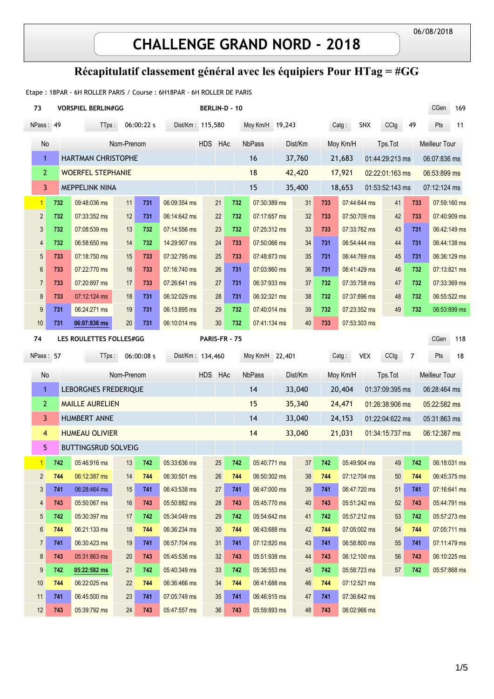# **CHALLENGE GRAND NORD - 2018**

### Récapitulatif classement général avec les équipiers Pour HTag = #GG

Etape : 18PAR - 6H ROLLER PARIS / Course : 6H18PAR - 6H ROLLER DE PARIS

| 73                            |            | <b>VORSPIEL BERLIN#GG</b>  |        |            | BERLIN-D - 10                                 |            |                 |              | 169<br>CGen     |  |                                      |     |                                           |                 |                 |              |               |     |
|-------------------------------|------------|----------------------------|--------|------------|-----------------------------------------------|------------|-----------------|--------------|-----------------|--|--------------------------------------|-----|-------------------------------------------|-----------------|-----------------|--------------|---------------|-----|
| NPass: 49                     |            | TTps:                      |        | 06:00:22 s | Dist/Km: 115,580                              |            |                 |              | Moy Km/H 19,243 |  |                                      |     | Catg:                                     | SNX             | CCtg            | 49           | Pts           | 11  |
| No                            | Nom-Prenom |                            |        |            | <b>HDS</b><br>HAc<br><b>NbPass</b><br>Dist/Km |            |                 |              |                 |  | Moy Km/H<br>Tps.Tot<br>Meilleur Tour |     |                                           |                 |                 |              |               |     |
| $\mathbf{1}$                  |            | <b>HARTMAN CHRISTOPHE</b>  |        |            |                                               |            |                 |              | 16              |  | 37,760                               |     | 21,683                                    |                 | 01:44:29:213 ms |              | 06:07:836 ms  |     |
| $\overline{2}$                |            | <b>WOERFEL STEPHANIE</b>   |        |            |                                               |            |                 | 18<br>42,420 |                 |  |                                      |     | 17,921<br>02:22:01:163 ms<br>06:53:899 ms |                 |                 |              |               |     |
| 3                             |            | <b>MEPPELINK NINA</b>      |        |            |                                               |            |                 | 15<br>35,400 |                 |  |                                      |     | 18,653                                    | 01:53:52:143 ms |                 | 07:12:124 ms |               |     |
| 1 <sup>1</sup>                | 732        | 09:48:036 ms               | 11     | 731        | 06:09:354 ms                                  |            | 21              | 732          | 07:30:389 ms    |  | 31                                   | 733 | 07:44:644 ms                              |                 | 41              | 733          | 07:59:160 ms  |     |
| $\overline{c}$                | 732        | 07:33:352 ms               | 12     | 731        | 06:14:642 ms                                  |            | 22              | 732          | 07:17:657 ms    |  | 32                                   | 733 | 07:50:709 ms                              |                 | 42              | 733          | 07:40:909 ms  |     |
| 3                             | 732        | 07:08:539 ms               | 13     | 732        | 07:14:556 ms                                  |            | 23              | 732          | 07:25:312 ms    |  | 33                                   | 733 | 07:33:762 ms                              |                 | 43              | 731          | 06:42:149 ms  |     |
| 4                             | 732        | 06:58:650 ms               | 14     | 732        | 14:29:907 ms                                  |            | 24              | 733          | 07:50:066 ms    |  | 34                                   | 731 | 06:54:444 ms                              |                 | 44              | 731          | 06:44:138 ms  |     |
| 5                             | 733        | 07:18:750 ms               | 15     | 733        | 07:32:795 ms                                  |            | 25              | 733          | 07:48:873 ms    |  | 35                                   | 731 | 06:44:769 ms                              |                 | 45              | 731          | 06:36:129 ms  |     |
| 6                             | 733        | 07:22:770 ms               | 16     | 733        | 07:16:740 ms                                  |            | 26              | 731          | 07:03:860 ms    |  | 36                                   | 731 | 06:41:429 ms                              |                 | 46              | 732          | 07:13:821 ms  |     |
| $\overline{7}$                | 733        | 07:20:897 ms               | 17     | 733        | 07:26:641 ms                                  |            | 27              | 731          | 06:37:933 ms    |  | 37                                   | 732 | 07:35:758 ms                              |                 | 47              | 732          | 07:33:369 ms  |     |
| 8                             | 733        | 07:12:124 ms               | 18     | 731        | 06:32:029 ms                                  |            | 28              | 731          | 06:32:321 ms    |  | 38                                   | 732 | 07:37:896 ms                              |                 | 48              | 732          | 06:55:522 ms  |     |
| $\boldsymbol{9}$              | 731        | 06:24:271 ms               | 19     | 731        | 06:13:895 ms                                  |            | 29              | 732          | 07:40:014 ms    |  | 39                                   | 732 | 07:23:352 ms                              |                 | 49              | 732          | 06:53:899 ms  |     |
| 10                            | 731        | 06:07:836 ms               | $20\,$ | 731        | 06:10:014 ms                                  |            | 30              | 732          | 07:41:134 ms    |  | 40                                   | 733 | 07:53:303 ms                              |                 |                 |              |               |     |
| 74<br>LES ROULETTES FOLLES#GG |            |                            |        |            |                                               |            | PARIS-FR - 75   |              |                 |  |                                      |     |                                           |                 |                 |              | CGen          | 118 |
| NPass: 57                     |            | TTps:                      |        | 06:00:08s  | Dist/Km: 134,460                              |            |                 |              | Moy Km/H 22,401 |  |                                      |     | Catg:                                     | <b>VEX</b>      | CCtg            | 7            | Pts           | 18  |
| Nom-Prenom<br>No              |            |                            |        |            |                                               | <b>HDS</b> | HAc             |              | <b>NbPass</b>   |  | Dist/Km                              |     | Moy Km/H                                  |                 | Tps.Tot         |              | Meilleur Tour |     |
| $\mathbf{1}$                  |            | LEBORGNES FREDERIQUE       |        |            |                                               |            |                 |              | 14              |  | 33,040                               |     | 20,404                                    |                 | 01:37:09:395 ms |              | 06:28:464 ms  |     |
| $\overline{2}$                |            | <b>MAILLE AURELIEN</b>     |        |            |                                               |            |                 |              | 15              |  | 35,340                               |     | 24,471                                    |                 | 01:26:38:906 ms |              | 05:22:582 ms  |     |
| 3                             |            | <b>HUMBERT ANNE</b>        |        |            |                                               |            | 14<br>33,040    |              |                 |  |                                      |     | 05:31:863 ms<br>24,153<br>01:22:04:622 ms |                 |                 |              |               |     |
| 4                             |            | <b>HUMEAU OLIVIER</b>      |        |            |                                               |            | 14<br>33,040    |              |                 |  |                                      |     | 21,031                                    |                 | 01:34:15:737 ms |              | 06:12:387 ms  |     |
| 5                             |            | <b>BUTTINGSRUD SOLVEIG</b> |        |            |                                               |            |                 |              |                 |  |                                      |     |                                           |                 |                 |              |               |     |
| $\mathbf{1}$                  | 742        | 05:46:916 ms               | 13     | 742        | 05:33:636 ms                                  |            | 25              | 742          | 05:40:771 ms    |  | 37                                   | 742 | 05:49:904 ms                              |                 | 49              | 742          | 06:18:031 ms  |     |
| $\overline{2}$                | 744        | 06:12:387 ms               | 14     | 744        | 06:30:501 ms                                  |            | 26              | 744          | 06:50:302 ms    |  | 38                                   | 744 | 07:12:704 ms                              |                 | 50              | 744          | 06:45:375 ms  |     |
| 3                             | 741        | 06:28:464 ms               | 15     | 741        | 06:43:538 ms                                  |            | 27              | 741          | 06:47:000 ms    |  | 39                                   | 741 | 06:47:720 ms                              |                 | 51              | 741          | 07:16:641 ms  |     |
| 4                             | 743        | 05:50:067 ms               | 16     | 743        | 05:50:882 ms                                  |            | 28              | 743          | 05:45:770 ms    |  | 40                                   | 743 | 05:51:242 ms                              |                 | 52              | 743          | 05:44:791 ms  |     |
| 5                             | 742        | 05:30:397 ms               | 17     | 742        | 05:34:049 ms                                  |            | 29              | 742          | 05:54:642 ms    |  | 41                                   | 742 | 05:57:212 ms                              |                 | 53              | 742          | 05:57:273 ms  |     |
| 6                             | 744        | 06:21:133 ms               | 18     | 744        | 06:36:234 ms                                  |            | 30 <sub>o</sub> | 744          | 06:43:688 ms    |  | 42                                   | 744 | 07:05:002 ms                              |                 | 54              | 744          | 07:05:711 ms  |     |
| 7                             | 741        | 06:30:423 ms               | 19     | 741        | 06:57:704 ms                                  |            | 31              | 741          | 07:12:820 ms    |  | 43                                   | 741 | 06:58:800 ms                              |                 | 55              | 741          | 07:11:479 ms  |     |
| 8                             | 743        | 05:31:863 ms               | 20     | 743        | 05:45:536 ms                                  |            | 32              | 743          | 05:51:938 ms    |  | 44                                   | 743 | 06:12:100 ms                              |                 | 56              | 743          | 06:10:225 ms  |     |
| 9                             | 742        | 05:22:582 ms               | 21     | 742        | 05:40:349 ms                                  |            | 33              | 742          | 05:36:553 ms    |  | 45                                   | 742 | 05:58:723 ms                              |                 | 57              | 742          | 05:57:868 ms  |     |
| 10 <sup>°</sup>               | 744        | 06:22:025 ms               | 22     | 744        | 06:36:466 ms                                  |            | 34              | 744          | 06:41:688 ms    |  | 46                                   | 744 | 07:12:521 ms                              |                 |                 |              |               |     |
| 11                            | 741        | 06:45:500 ms               | 23     | 741        | 07:05:749 ms                                  |            | 35              | 741          | 06:46:915 ms    |  | 47                                   | 741 | 07:36:642 ms                              |                 |                 |              |               |     |
| 12                            | 743        | 05:39:792 ms               | 24     | 743        | 05:47:557 ms                                  |            | 36              | 743          | 05:59:893 ms    |  | 48                                   | 743 | 06:02:966 ms                              |                 |                 |              |               |     |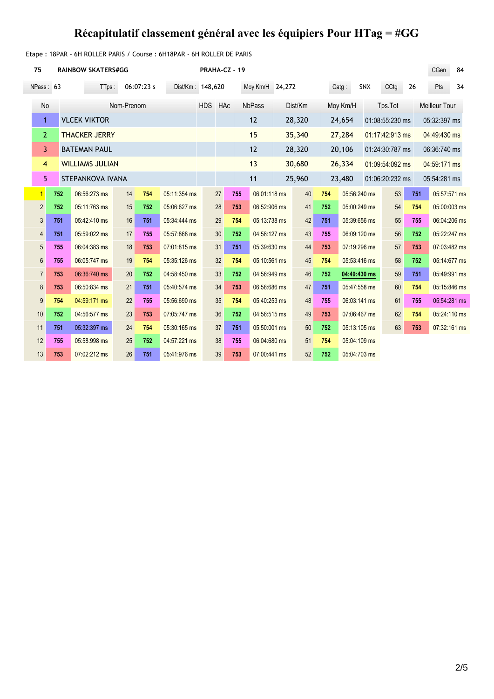Etape: 18PAR - 6H ROLLER PARIS / Course: 6H18PAR - 6H ROLLER DE PARIS

| 75             |                                                      | <b>RAINBOW SKATERS#GG</b> |    | PRAHA-CZ - 19 |              | CGen       | 84         |     |                          |  |                 |     |                           |     |                 |     |                      |    |  |  |
|----------------|------------------------------------------------------|---------------------------|----|---------------|--------------|------------|------------|-----|--------------------------|--|-----------------|-----|---------------------------|-----|-----------------|-----|----------------------|----|--|--|
|                | 06:07:23 s<br>NPass: 63<br>Dist/Km: 148,620<br>TTps: |                           |    |               |              |            |            |     | Moy Km/H 24,272          |  |                 |     | Catg:                     | SNX | CCtg            | 26  | Pts                  | 34 |  |  |
| <b>No</b>      | Nom-Prenom                                           |                           |    |               |              | <b>HDS</b> | <b>HAc</b> |     | <b>NbPass</b><br>Dist/Km |  |                 |     | Moy Km/H                  |     | Tps.Tot         |     | <b>Meilleur Tour</b> |    |  |  |
| $\mathbf{1}$   |                                                      | <b>VLCEK VIKTOR</b>       |    |               |              |            |            |     | 12                       |  | 28,320          |     | 24,654                    |     | 01:08:55:230 ms |     | 05:32:397 ms         |    |  |  |
| $\overline{2}$ |                                                      | <b>THACKER JERRY</b>      |    |               |              |            |            |     | 15                       |  | 35,340          |     | 27,284                    |     | 01:17:42:913 ms |     | 04:49:430 ms         |    |  |  |
| 3              |                                                      | <b>BATEMAN PAUL</b>       |    |               |              |            |            |     | 12                       |  | 28,320          |     | 20,106<br>01:24:30:787 ms |     |                 |     | 06:36:740 ms         |    |  |  |
| 4              | <b>WILLIAMS JULIAN</b>                               |                           |    |               | 13           |            | 30,680     |     | 26,334                   |  | 01:09:54:092 ms |     | 04:59:171 ms              |     |                 |     |                      |    |  |  |
| 5              | STEPANKOVA IVANA                                     |                           |    |               | 11           |            | 25,960     |     | 23,480                   |  | 01:06:20:232 ms |     | 05:54:281 ms              |     |                 |     |                      |    |  |  |
| $\vert$        | 752                                                  | 06:56:273 ms              | 14 | 754           | 05:11:354 ms |            | 27         | 755 | 06:01:118 ms             |  | 40              | 754 | 05:56:240 ms              |     | 53              | 751 | 05:57:571 ms         |    |  |  |
| $\overline{2}$ | 752                                                  | 05:11:763 ms              | 15 | 752           | 05:06:627 ms |            | 28         | 753 | 06:52:906 ms             |  | 41              | 752 | 05:00:249 ms              |     | 54              | 754 | 05:00:003 ms         |    |  |  |
| 3              | 751                                                  | 05:42:410 ms              | 16 | 751           | 05:34:444 ms |            | 29         | 754 | 05:13:738 ms             |  | 42              | 751 | 05:39:656 ms              |     | 55              | 755 | 06:04:206 ms         |    |  |  |
| 4              | 751                                                  | 05:59:022 ms              | 17 | 755           | 05:57:868 ms |            | 30         | 752 | 04:58:127 ms             |  | 43              | 755 | 06:09:120 ms              |     | 56              | 752 | 05:22:247 ms         |    |  |  |
| 5              | 755                                                  | 06:04:383 ms              | 18 | 753           | 07:01:815 ms |            | 31         | 751 | 05:39:630 ms             |  | 44              | 753 | 07:19:296 ms              |     | 57              | 753 | 07:03:482 ms         |    |  |  |
| 6              | 755                                                  | 06:05:747 ms              | 19 | 754           | 05:35:126 ms |            | 32         | 754 | 05:10:561 ms             |  | 45              | 754 | 05:53:416 ms              |     | 58              | 752 | 05:14:677 ms         |    |  |  |
| $\overline{7}$ | 753                                                  | 06:36:740 ms              | 20 | 752           | 04:58:450 ms |            | 33         | 752 | 04:56:949 ms             |  | 46              | 752 | 04:49:430 ms              |     | 59              | 751 | 05:49:991 ms         |    |  |  |
| 8              | 753                                                  | 06:50:834 ms              | 21 | 751           | 05:40:574 ms |            | 34         | 753 | 06:58:686 ms             |  | 47              | 751 | 05:47:558 ms              |     | 60              | 754 | 05:15:846 ms         |    |  |  |
| 9              | 754                                                  | 04:59:171 ms              | 22 | 755           | 05:56:690 ms |            | 35         | 754 | 05:40:253 ms             |  | 48              | 755 | 06:03:141 ms              |     | 61              | 755 | 05:54:281 ms         |    |  |  |
| 10             | 752                                                  | 04:56:577 ms              | 23 | 753           | 07:05:747 ms |            | 36         | 752 | 04:56:515 ms             |  | 49              | 753 | 07:06:467 ms              |     | 62              | 754 | 05:24:110 ms         |    |  |  |
| 11             | 751                                                  | 05:32:397 ms              | 24 | 754           | 05:30:165 ms |            | 37         | 751 | 05:50:001 ms             |  | 50              | 752 | 05:13:105 ms              |     | 63              | 753 | 07:32:161 ms         |    |  |  |
| 12             | 755                                                  | 05:58:998 ms              | 25 | 752           | 04:57:221 ms |            | 38         | 755 | 06:04:680 ms             |  | 51              | 754 | 05:04:109 ms              |     |                 |     |                      |    |  |  |
| 13             | 753                                                  | 07:02:212 ms              | 26 | 751           | 05:41:976 ms |            | 39         | 753 | 07:00:441 ms             |  | 52              | 752 | 05:04:703 ms              |     |                 |     |                      |    |  |  |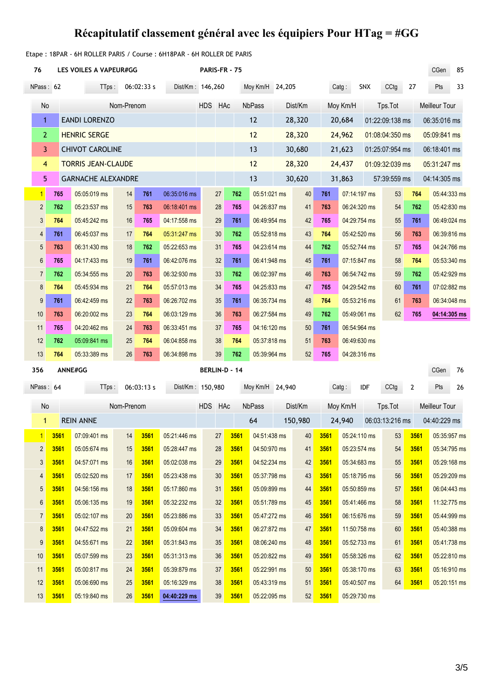#### Etape : 18PAR - 6H ROLLER PARIS / Course : 6H18PAR - 6H ROLLER DE PARIS

|                                                      | 76             | LES VOILES A VAPEUR#GG |                           |            |     |              |            |                 | PARIS-FR - 75 |               |        |                 |              |                           |              |                 |     |                      |              |  |
|------------------------------------------------------|----------------|------------------------|---------------------------|------------|-----|--------------|------------|-----------------|---------------|---------------|--------|-----------------|--------------|---------------------------|--------------|-----------------|-----|----------------------|--------------|--|
| 06:02:33 s<br>Dist/Km: 146,260<br>NPass: 62<br>TTps: |                |                        |                           |            |     |              |            | Moy Km/H 24,205 |               |               |        | Catg:           | <b>SNX</b>   | CCtg                      | 27           | Pts             | 33  |                      |              |  |
|                                                      | No             |                        |                           | Nom-Prenom |     |              | <b>HDS</b> | HAc             |               | <b>NbPass</b> |        | Dist/Km         |              | Moy Km/H                  |              | Tps.Tot         |     | <b>Meilleur Tour</b> |              |  |
|                                                      | $\mathbf{1}$   |                        | <b>EANDI LORENZO</b>      |            |     |              | 12         |                 | 28,320        |               | 20,684 | 01:22:09:138 ms |              |                           | 06:35:016 ms |                 |     |                      |              |  |
|                                                      | $\overline{2}$ |                        | <b>HENRIC SERGE</b>       |            |     |              |            |                 |               | 12            |        | 28,320          |              | 24,962<br>01:08:04:350 ms |              |                 |     | 05:09:841 ms         |              |  |
|                                                      | $\overline{3}$ |                        | <b>CHIVOT CAROLINE</b>    |            |     |              |            |                 |               | 13            |        | 30,680          |              | 21,623                    |              | 01:25:07:954 ms |     | 06:18:401 ms         |              |  |
|                                                      | 4              |                        | <b>TORRIS JEAN-CLAUDE</b> |            |     |              |            |                 |               | 12            |        | 28,320          |              | 24,437                    |              | 01:09:32:039 ms |     | 05:31:247 ms         |              |  |
|                                                      | 5              |                        | <b>GARNACHE ALEXANDRE</b> |            |     |              | 13         |                 | 30,620        |               | 31,863 |                 | 57:39:559 ms |                           | 04:14:305 ms |                 |     |                      |              |  |
|                                                      | 1              | 765                    | 05:05:019 ms              | 14         | 761 | 06:35:016 ms |            | 27              | 762           | 05:51:021 ms  |        | 40              | 761          | 07:14:197 ms              |              | 53              | 764 |                      | 05:44:333 ms |  |
|                                                      | $\overline{2}$ | 762                    | 05:23:537 ms              | 15         | 763 | 06:18:401 ms |            | 28              | 765           | 04:26:837 ms  |        | 41              | 763          | 06:24:320 ms              |              | 54              | 762 |                      | 05:42:830 ms |  |
|                                                      | $\mathbf{3}$   | 764                    | 05:45:242 ms              | 16         | 765 | 04:17:558 ms |            | 29              | 761           | 06:49:954 ms  |        | 42              | 765          | 04:29:754 ms              |              | 55              | 761 |                      | 06:49:024 ms |  |
|                                                      | 4              | 761                    | 06:45:037 ms              | 17         | 764 | 05:31:247 ms |            | 30              | 762           | 05:52:818 ms  |        | 43              | 764          | 05:42:520 ms              |              | 56              | 763 |                      | 06:39:816 ms |  |
|                                                      | 5              | 763                    | 06:31:430 ms              | 18         | 762 | 05:22:653 ms |            | 31              | 765           | 04:23:614 ms  |        | 44              | 762          | 05:52:744 ms              |              | 57              | 765 |                      | 04:24:766 ms |  |
|                                                      | $6\phantom{1}$ | 765                    | 04:17:433 ms              | 19         | 761 | 06:42:076 ms |            | 32              | 761           | 06:41:948 ms  |        | 45              | 761          | 07:15:847 ms              |              | 58              | 764 |                      | 05:53:340 ms |  |
|                                                      | $\overline{7}$ | 762                    | 05:34:555 ms              | 20         | 763 | 06:32:930 ms |            | 33              | 762           | 06:02:397 ms  |        | 46              | 763          | 06:54:742 ms              |              | 59              | 762 |                      | 05:42:929 ms |  |
|                                                      | 8              | 764                    | 05:45:934 ms              | 21         | 764 | 05:57:013 ms |            | 34              | 765           | 04:25:833 ms  |        | 47              | 765          | 04:29:542 ms              |              | 60              | 761 |                      | 07:02:882 ms |  |
|                                                      | 9              | 761                    | 06:42:459 ms              | 22         | 763 | 06:26:702 ms |            | 35              | 761           | 06:35:734 ms  |        | 48              | 764          | 05:53:216 ms              |              | 61              | 763 |                      | 06:34:048 ms |  |
|                                                      | 10             | 763                    | 06:20:002 ms              | 23         | 764 | 06:03:129 ms |            | 36              | 763           | 06:27:584 ms  |        | 49              | 762          | 05:49:061 ms              |              | 62              | 765 |                      | 04:14:305 ms |  |
|                                                      | 11             | 765                    | 04:20:462 ms              | 24         | 763 | 06:33:451 ms |            | 37              | 765           | 04:16:120 ms  |        | $50\,$          | 761          | 06:54:964 ms              |              |                 |     |                      |              |  |
|                                                      | 12             | 762                    | 05:09:841 ms              | 25         | 764 | 06:04:858 ms |            | 38              | 764           | 05:37:818 ms  |        | 51              | 763          | 06:49:630 ms              |              |                 |     |                      |              |  |
|                                                      | 13             | 764                    | 05:33:389 ms              | 26         | 763 | 06:34:898 ms |            | 39              | 762           | 05:39:964 ms  |        | 52              | 765          | 04:28:316 ms              |              |                 |     |                      |              |  |

**ANNE#GG BERLIN-D - 14 CGen 76 CGen 76** 

| NPass: 64       |      | $T$ Tps :        |            | 06:03:13s | Dist/Km: 150,980 |            |                 |      | Moy Km/H      | 24,940  |         |      | IDF<br>Catg: | CCtg            | 2    | Pts<br>26     |
|-----------------|------|------------------|------------|-----------|------------------|------------|-----------------|------|---------------|---------|---------|------|--------------|-----------------|------|---------------|
|                 | No   |                  | Nom-Prenom |           |                  | <b>HDS</b> | HAc             |      | <b>NbPass</b> |         | Dist/Km |      | Moy Km/H     | Tps.Tot         |      | Meilleur Tour |
| 1               |      | <b>REIN ANNE</b> |            |           |                  |            |                 | 64   |               | 150,980 |         |      | 24,940       | 06:03:13:216 ms |      | 04:40:229 ms  |
| $\mathbf{1}$    | 3561 | 07:09:401 ms     | 14         | 3561      | 05:21:446 ms     |            | 27              | 3561 | 04:51:438 ms  |         | 40      | 3561 | 05:24:110 ms | 53              | 3561 | 05:35:957 ms  |
| $\overline{2}$  | 3561 | 05:05:674 ms     | 15         | 3561      | 05:28:447 ms     |            | 28              | 3561 | 04:50:970 ms  |         | 41      | 3561 | 05:23:574 ms | 54              | 3561 | 05:34:795 ms  |
| $\mathfrak{Z}$  | 3561 | 04:57:071 ms     | 16         | 3561      | 05:02:038 ms     |            | 29              | 3561 | 04:52:234 ms  |         | 42      | 3561 | 05:34:683 ms | 55              | 3561 | 05:29:168 ms  |
| 4               | 3561 | 05:02:520 ms     | 17         | 3561      | 05:23:438 ms     |            | 30 <sup>°</sup> | 3561 | 05:37:798 ms  |         | 43      | 3561 | 05:18:795 ms | 56              | 3561 | 05:29:209 ms  |
| 5 <sup>5</sup>  | 3561 | 04:56:156 ms     | 18         | 3561      | 05:17:860 ms     |            | 31              | 3561 | 05:09:899 ms  |         | 44      | 3561 | 05:50:859 ms | 57              | 3561 | 06:04:443 ms  |
| $6\phantom{.0}$ | 3561 | 05:06:135 ms     | 19         | 3561      | 05:32:232 ms     |            | 32              | 3561 | 05:51:789 ms  |         | 45      | 3561 | 05:41:466 ms | 58              | 3561 | 11:32:775 ms  |
| $\overline{7}$  | 3561 | 05:02:107 ms     | 20         | 3561      | 05:23:886 ms     |            | 33              | 3561 | 05:47:272 ms  |         | 46      | 3561 | 06:15:676 ms | 59              | 3561 | 05:44:999 ms  |
| 8               | 3561 | 04:47:522 ms     | 21         | 3561      | 05:09:604 ms     |            | 34              | 3561 | 06:27:872 ms  |         | 47      | 3561 | 11:50:758 ms | 60              | 3561 | 05:40:388 ms  |
| 9               | 3561 | 04:55:671 ms     | 22         | 3561      | 05:31:843 ms     |            | 35              | 3561 | 08:06:240 ms  |         | 48      | 3561 | 05:52:733 ms | 61              | 3561 | 05:41:738 ms  |
| 10              | 3561 | 05:07:599 ms     | 23         | 3561      | 05:31:313 ms     |            | 36              | 3561 | 05:20:822 ms  |         | 49      | 3561 | 05:58:326 ms | 62              | 3561 | 05:22:810 ms  |
| 11              | 3561 | 05:00:817 ms     | 24         | 3561      | 05:39:879 ms     |            | 37              | 3561 | 05:22:991 ms  |         | 50      | 3561 | 05:38:170 ms | 63              | 3561 | 05:16:910 ms  |
| 12              | 3561 | 05:06:690 ms     | 25         | 3561      | 05:16:329 ms     |            | 38              | 3561 | 05:43:319 ms  |         | 51      | 3561 | 05:40:507 ms | 64              | 3561 | 05:20:151 ms  |
| 13              | 3561 | 05:19:840 ms     | 26         | 3561      | 04:40:229 ms     |            | 39              | 3561 | 05:22:095 ms  |         | 52      | 3561 | 05:29:730 ms |                 |      |               |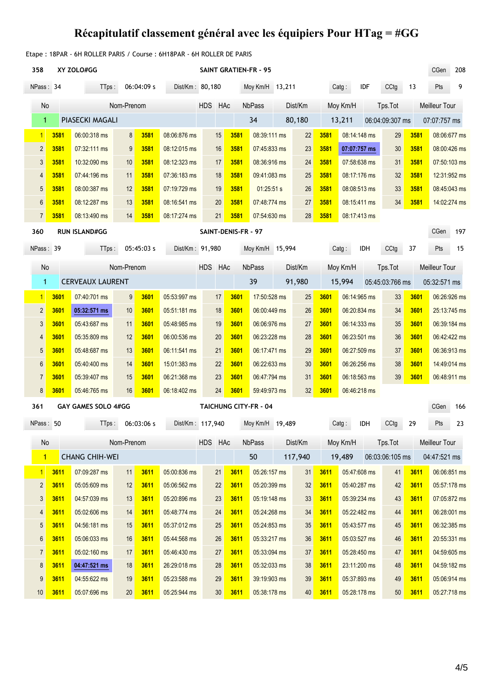### Etape : 18PAR - 6H ROLLER PARIS / Course : 6H18PAR - 6H ROLLER DE PARIS

| 358              |                         | XY ZOLO#GG                             |            | <b>SAINT GRATIEN-FR - 95</b> |                  |            |                 |                      |                       |          |         |                 |              |               |                 |      | CGen          | 208 |  |  |  |
|------------------|-------------------------|----------------------------------------|------------|------------------------------|------------------|------------|-----------------|----------------------|-----------------------|----------|---------|-----------------|--------------|---------------|-----------------|------|---------------|-----|--|--|--|
| NPass: 34        |                         | 06:04:09 s<br>Dist/Km: 80,180<br>TTps: |            |                              |                  |            |                 |                      | Moy Km/H 13,211       |          |         |                 | Catg:        | <b>IDF</b>    | CCtg            | 13   | Pts           | 9   |  |  |  |
| No               |                         |                                        | Nom-Prenom |                              |                  | <b>HDS</b> | HAc             |                      | <b>NbPass</b>         |          | Dist/Km |                 | Moy Km/H     |               | Tps.Tot         |      | Meilleur Tour |     |  |  |  |
| 1                |                         | PIASECKI MAGALI                        |            |                              |                  |            |                 |                      | 34                    |          | 80,180  |                 | 13,211       |               | 06:04:09:307 ms |      | 07:07:757 ms  |     |  |  |  |
| $\overline{1}$   | 3581                    | 06:00:318 ms                           | 8          | 3581                         | 08:06:876 ms     |            | 15              | 3581                 | 08:39:111 ms          |          | 22      | 3581            | 08:14:148 ms |               | 29              | 3581 | 08:06:677 ms  |     |  |  |  |
| $\overline{2}$   | 3581                    | 07:32:111 ms                           | 9          | 3581                         | 08:12:015 ms     |            | 16              | 3581                 | 07:45:833 ms          |          | 23      | 3581            | 07:07:757 ms |               | 30              | 3581 | 08:00:426 ms  |     |  |  |  |
| $\mathfrak{Z}$   | 3581                    | 10:32:090 ms                           | $10$       | 3581                         | 08:12:323 ms     |            | 17              | 3581                 | 08:36:916 ms          |          | 24      | 3581            | 07:58:638 ms |               | 31              | 3581 | 07:50:103 ms  |     |  |  |  |
| $\overline{4}$   | 3581                    | 07:44:196 ms                           | 11         | 3581                         | 07:36:183 ms     |            | 18              | 3581                 | 09:41:083 ms          |          | 25      | 3581            | 08:17:176 ms |               | 32              | 3581 | 12:31:952 ms  |     |  |  |  |
| $\overline{5}$   | 3581                    | 08:00:387 ms                           | 12         | 3581                         | 07:19:729 ms     |            | 19              | 3581                 | 01:25:51 s            |          | 26      | 3581            | 08:08:513 ms |               | 33              | 3581 | 08:45:043 ms  |     |  |  |  |
| $\boldsymbol{6}$ | 3581                    | 08:12:287 ms                           | 13         | 3581                         | 08:16:541 ms     |            | 20              | 3581                 | 07:48:774 ms          |          | 27      | 3581            | 08:15:411 ms |               | 34              | 3581 | 14:02:274 ms  |     |  |  |  |
| $\overline{7}$   | 3581                    | 08:13:490 ms                           | 14         | 3581                         | 08:17:274 ms     |            | 21              | 3581                 | 07:54:630 ms          |          | 28      | 3581            | 08:17:413 ms |               |                 |      |               |     |  |  |  |
| 360              |                         | <b>RUN ISLAND#GG</b>                   |            |                              |                  |            |                 | SAINT-DENIS-FR - 97  |                       |          |         |                 |              |               |                 |      | CGen          | 197 |  |  |  |
| NPass: 39        |                         | TTps:                                  |            | 05:45:03s                    | Dist/Km: 91,980  |            |                 |                      | Moy Km/H 15,994       |          |         |                 | Catg:        | <b>IDH</b>    | CCtg            | 37   | Pts           | 15  |  |  |  |
| No               | Nom-Prenom              |                                        | HDS HAc    |                              |                  | NbPass     |                 | Dist/Km              |                       | Moy Km/H |         | Tps.Tot         |              | Meilleur Tour |                 |      |               |     |  |  |  |
| $\mathbf{1}$     | <b>CERVEAUX LAURENT</b> |                                        |            |                              |                  | 39         |                 | 91,980               |                       | 15,994   |         | 05:45:03:766 ms |              | 05:32:571 ms  |                 |      |               |     |  |  |  |
| $\vert$          | 3601                    | 07:40:701 ms                           | 9          | 3601                         | 05:53:997 ms     |            | 17              | 3601                 | 17:50:528 ms          |          | 25      | 3601            | 06:14:965 ms |               | 33              | 3601 | 06:26:926 ms  |     |  |  |  |
| $\overline{2}$   | 3601                    | 05:32:571 ms                           | $10$       | 3601                         | 05:51:181 ms     |            | 18              | 3601                 | 06:00:449 ms          |          | 26      | 3601            | 06:20:834 ms |               | 34              | 3601 | 25:13:745 ms  |     |  |  |  |
| $\mathfrak{Z}$   | 3601                    | 05:43:687 ms                           | 11         | 3601                         | 05:48:985 ms     |            | 19              | 3601                 | 06:06:976 ms          |          | 27      | 3601            | 06:14:333 ms |               | 35              | 3601 | 06:39:184 ms  |     |  |  |  |
| 4                | 3601                    | 05:35:809 ms                           | 12         | 3601                         | 06:00:536 ms     |            | 20              | 3601                 | 06:23:228 ms          |          | 28      | 3601            | 06:23:501 ms |               | 36              | 3601 | 06:42:422 ms  |     |  |  |  |
| 5                | 3601                    | 05:48:687 ms                           | 13         | 3601                         | 06:11:541 ms     |            | 21              | 3601                 | 06:17:471 ms          |          | 29      | 3601            | 06:27:509 ms |               | 37              | 3601 | 06:36:913 ms  |     |  |  |  |
| $\boldsymbol{6}$ | 3601                    | 05:40:400 ms                           | 14         | 3601                         | 15:01:383 ms     |            | 22              | 3601                 | 06:22:633 ms          |          | 30      | 3601            | 06:26:256 ms |               | 38              | 3601 | 14:49:014 ms  |     |  |  |  |
| $\overline{7}$   | 3601                    | 05:39:407 ms                           | 15         | 3601                         | 06:21:368 ms     |            | 23              | 3601                 | 06:47:794 ms          |          | 31      | 3601            | 06:18:563 ms |               | 39              | 3601 | 06:48:911 ms  |     |  |  |  |
| 8                | 3601                    | 05:46:765 ms                           | 16         | 3601                         | 06:18:402 ms     |            | 24              | 3601                 | 59:49:973 ms          | 32       |         | 3601            | 06:46:218 ms |               |                 |      |               |     |  |  |  |
| 361              |                         | GAY GAMES SOLO 4#GG                    |            |                              |                  |            |                 |                      | TAICHUNG CITY-FR - 04 |          |         |                 | CGen         | 166           |                 |      |               |     |  |  |  |
| NPass: 50        |                         | $T$ Tps:                               |            | 06:03:06 s                   | Dist/Km: 117,940 |            |                 |                      | Moy Km/H 19,489       |          |         |                 | Catg:        | IDH           | CCtg            | 29   | Pts           | 23  |  |  |  |
| No               |                         |                                        | Nom-Prenom |                              |                  | HDS HAc    |                 |                      | NbPass                |          | Dist/Km |                 | Moy Km/H     |               | Tps.Tot         |      | Meilleur Tour |     |  |  |  |
| $\overline{1}$   |                         | <b>CHANG CHIH-WEI</b>                  |            |                              |                  |            |                 |                      | $50\,$                |          | 117,940 |                 | 19,489       |               | 06:03:06:105 ms |      | 04:47:521 ms  |     |  |  |  |
| $\vert$          | 3611                    | 07:09:287 ms                           | 11         | <b>3611</b>                  | 05:00:836 ms     |            | 21              | 3611                 | 05:26:157 ms          |          | 31      | 3611            | 05:47:608 ms |               | 41              | 3611 | 06:06:851 ms  |     |  |  |  |
| $\overline{2}$   | 3611                    | 05:05:609 ms                           | 12         | <b>3611</b>                  | 05:06:562 ms     |            | 22              | 3611                 | 05:20:399 ms          |          | 32      | 3611            | 05:40:287 ms |               | 42              | 3611 | 05:57:178 ms  |     |  |  |  |
| $\mathfrak{Z}$   | 3611                    | 04:57:039 ms                           | 13         | 3611                         | 05:20:896 ms     |            | 23              | 3611                 | 05:19:148 ms          |          | 33      | 3611            | 05:39:234 ms |               | 43              | 3611 | 07:05:872 ms  |     |  |  |  |
| $\overline{4}$   | 3611                    | 05:02:606 ms                           | 14         | <b>3611</b>                  | 05:48:774 ms     |            | 24              | 3611                 | 05:24:268 ms          |          | 34      | <b>3611</b>     | 05:22:482 ms |               | 44              | 3611 | 06:28:001 ms  |     |  |  |  |
| $5\phantom{.0}$  | 3611                    | 04:56:181 ms                           | 15         | <b>3611</b>                  | 05:37:012 ms     |            | 25              | 3611                 | 05:24:853 ms          |          | 35      | <b>3611</b>     | 05:43:577 ms |               | 45              | 3611 | 06:32:385 ms  |     |  |  |  |
| 6                | 3611                    | 05:06:033 ms                           | 16         | 3611                         | 05:44:568 ms     |            | 26              | 3611<br>05:33:217 ms |                       |          | 36      | 3611            | 05:03:527 ms |               | 46              | 3611 | 20:55:331 ms  |     |  |  |  |
| $\overline{7}$   | 3611                    | 05:02:160 ms                           | 17         | <b>3611</b>                  | 05:46:430 ms     |            | 27              | 3611<br>05:33:094 ms |                       |          | 37      | <b>3611</b>     | 05:28:450 ms |               | 47              | 3611 | 04:59:605 ms  |     |  |  |  |
| $\bf 8$          | 3611                    | 04:47:521 ms                           | 18         | <b>3611</b>                  | 26:29:018 ms     |            | 28              | 3611<br>05:32:033 ms |                       |          | 38      | <b>3611</b>     | 23:11:200 ms |               | 48              | 3611 | 04:59:182 ms  |     |  |  |  |
| 9                | 3611                    | 04:55:622 ms                           | 19         | 3611                         | 05:23:588 ms     |            | 29              | 3611                 | 39:19:903 ms          |          | 39      | 3611            | 05:37:893 ms |               | 49              | 3611 | 05:06:914 ms  |     |  |  |  |
| 10               | 3611                    | 05:07:696 ms                           | 20         | <b>3611</b>                  | 05:25:944 ms     |            | 30 <sub>2</sub> | 3611                 | 05:38:178 ms          |          | 40      | <b>3611</b>     | 05:28:178 ms |               | 50              | 3611 | 05:27:718 ms  |     |  |  |  |